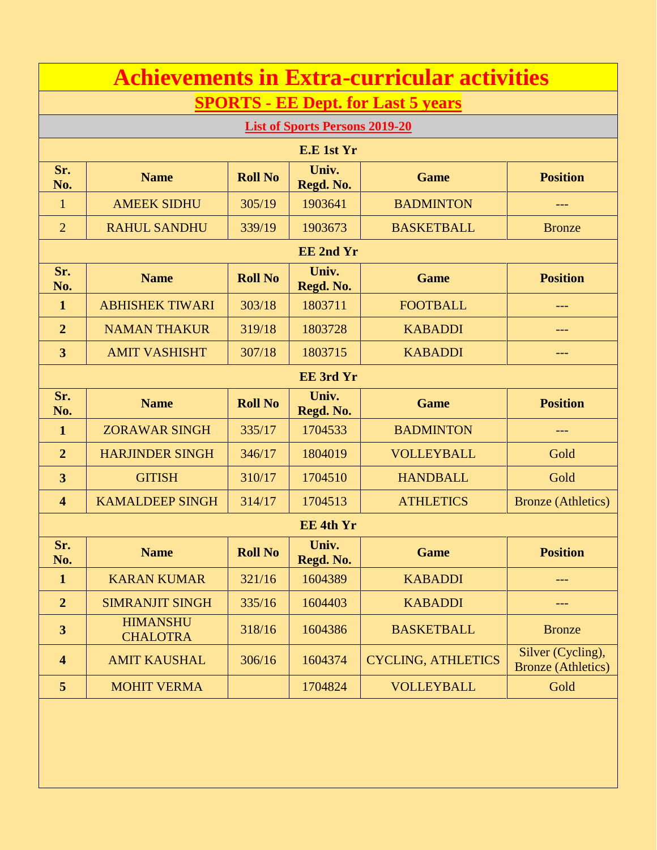| <b>Achievements in Extra-curricular activities</b> |                                    |                |                    |                           |                                                |  |  |
|----------------------------------------------------|------------------------------------|----------------|--------------------|---------------------------|------------------------------------------------|--|--|
| <b>SPORTS - EE Dept. for Last 5 years</b>          |                                    |                |                    |                           |                                                |  |  |
| <b>List of Sports Persons 2019-20</b>              |                                    |                |                    |                           |                                                |  |  |
|                                                    |                                    |                | E.E 1st Yr         |                           |                                                |  |  |
| Sr.<br>No.                                         | <b>Name</b>                        | <b>Roll No</b> | Univ.<br>Regd. No. | <b>Game</b>               | <b>Position</b>                                |  |  |
| $\mathbf{1}$                                       | <b>AMEEK SIDHU</b>                 | 305/19         | 1903641            | <b>BADMINTON</b>          | $---$                                          |  |  |
| $\overline{2}$                                     | <b>RAHUL SANDHU</b>                | 339/19         | 1903673            | <b>BASKETBALL</b>         | <b>Bronze</b>                                  |  |  |
|                                                    |                                    |                | <b>EE 2nd Yr</b>   |                           |                                                |  |  |
| Sr.<br>No.                                         | <b>Name</b>                        | <b>Roll No</b> | Univ.<br>Regd. No. | <b>Game</b>               | <b>Position</b>                                |  |  |
| $\mathbf{1}$                                       | <b>ABHISHEK TIWARI</b>             | 303/18         | 1803711            | <b>FOOTBALL</b>           | ---                                            |  |  |
| $\overline{2}$                                     | <b>NAMAN THAKUR</b>                | 319/18         | 1803728            | <b>KABADDI</b>            |                                                |  |  |
| 3                                                  | <b>AMIT VASHISHT</b>               | 307/18         | 1803715            | <b>KABADDI</b>            | ---                                            |  |  |
|                                                    | <b>EE</b> 3rd Yr                   |                |                    |                           |                                                |  |  |
| Sr.<br>No.                                         | <b>Name</b>                        | <b>Roll No</b> | Univ.<br>Regd. No. | <b>Game</b>               | <b>Position</b>                                |  |  |
| $\mathbf{1}$                                       | <b>ZORAWAR SINGH</b>               | 335/17         | 1704533            | <b>BADMINTON</b>          | ---                                            |  |  |
| $\overline{2}$                                     | <b>HARJINDER SINGH</b>             | 346/17         | 1804019            | <b>VOLLEYBALL</b>         | Gold                                           |  |  |
| 3                                                  | <b>GITISH</b>                      | 310/17         | 1704510            | <b>HANDBALL</b>           | Gold                                           |  |  |
| $\overline{\mathbf{4}}$                            | <b>KAMALDEEP SINGH</b>             | 314/17         | 1704513            | <b>ATHLETICS</b>          | <b>Bronze</b> (Athletics)                      |  |  |
|                                                    | <b>EE 4th Yr</b>                   |                |                    |                           |                                                |  |  |
| Sr.<br>No.                                         | <b>Name</b>                        | <b>Roll No</b> | Univ.<br>Regd. No. | <b>Game</b>               | <b>Position</b>                                |  |  |
| $\mathbf{1}$                                       | <b>KARAN KUMAR</b>                 | 321/16         | 1604389            | <b>KABADDI</b>            |                                                |  |  |
| $\overline{2}$                                     | <b>SIMRANJIT SINGH</b>             | 335/16         | 1604403            | <b>KABADDI</b>            |                                                |  |  |
| $\overline{\mathbf{3}}$                            | <b>HIMANSHU</b><br><b>CHALOTRA</b> | 318/16         | 1604386            | <b>BASKETBALL</b>         | <b>Bronze</b>                                  |  |  |
| $\overline{\mathbf{4}}$                            | <b>AMIT KAUSHAL</b>                | 306/16         | 1604374            | <b>CYCLING, ATHLETICS</b> | Silver (Cycling),<br><b>Bronze</b> (Athletics) |  |  |
| 5                                                  | <b>MOHIT VERMA</b>                 |                | 1704824            | <b>VOLLEYBALL</b>         | Gold                                           |  |  |
|                                                    |                                    |                |                    |                           |                                                |  |  |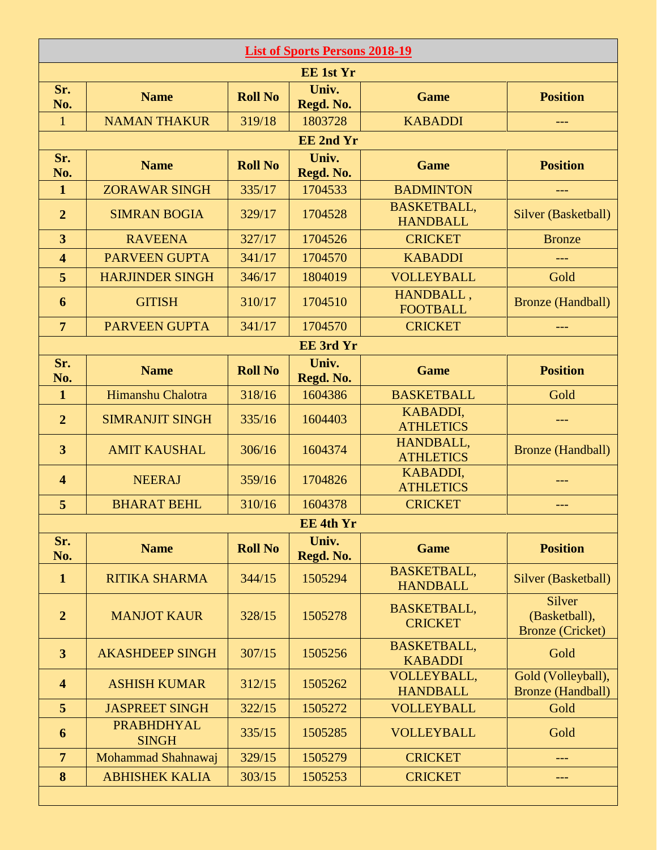| <b>List of Sports Persons 2018-19</b> |                                   |                |                    |                                       |                                                    |  |
|---------------------------------------|-----------------------------------|----------------|--------------------|---------------------------------------|----------------------------------------------------|--|
| <b>EE 1st Yr</b>                      |                                   |                |                    |                                       |                                                    |  |
| Sr.<br>No.                            | <b>Name</b>                       | <b>Roll No</b> | Univ.<br>Regd. No. | <b>Game</b>                           | <b>Position</b>                                    |  |
| $\mathbf{1}$                          | <b>NAMAN THAKUR</b>               | 319/18         | 1803728            | <b>KABADDI</b>                        | $---$                                              |  |
|                                       |                                   |                | <b>EE</b> 2nd Yr   |                                       |                                                    |  |
| Sr.<br>No.                            | <b>Name</b>                       | <b>Roll No</b> | Univ.<br>Regd. No. | <b>Game</b>                           | <b>Position</b>                                    |  |
| $\mathbf{1}$                          | <b>ZORAWAR SINGH</b>              | 335/17         | 1704533            | <b>BADMINTON</b>                      |                                                    |  |
| $\overline{2}$                        | <b>SIMRAN BOGIA</b>               | 329/17         | 1704528            | <b>BASKETBALL,</b><br><b>HANDBALL</b> | Silver (Basketball)                                |  |
| 3                                     | <b>RAVEENA</b>                    | 327/17         | 1704526            | <b>CRICKET</b>                        | <b>Bronze</b>                                      |  |
| $\overline{\mathbf{4}}$               | <b>PARVEEN GUPTA</b>              | 341/17         | 1704570            | <b>KABADDI</b>                        | ---                                                |  |
| 5                                     | <b>HARJINDER SINGH</b>            | 346/17         | 1804019            | <b>VOLLEYBALL</b>                     | Gold                                               |  |
| 6                                     | <b>GITISH</b>                     | 310/17         | 1704510            | HANDBALL,<br><b>FOOTBALL</b>          | <b>Bronze</b> (Handball)                           |  |
| $\overline{7}$                        | <b>PARVEEN GUPTA</b>              | 341/17         | 1704570            | <b>CRICKET</b>                        | $---$                                              |  |
|                                       |                                   |                | <b>EE</b> 3rd Yr   |                                       |                                                    |  |
| Sr.<br>No.                            | <b>Name</b>                       | <b>Roll No</b> | Univ.<br>Regd. No. | <b>Game</b>                           | <b>Position</b>                                    |  |
| $\mathbf{1}$                          | Himanshu Chalotra                 | 318/16         | 1604386            | <b>BASKETBALL</b>                     | Gold                                               |  |
| $\overline{2}$                        | <b>SIMRANJIT SINGH</b>            | 335/16         | 1604403            | <b>KABADDI,</b><br><b>ATHLETICS</b>   | ---                                                |  |
| $\overline{\mathbf{3}}$               | <b>AMIT KAUSHAL</b>               | 306/16         | 1604374            | HANDBALL,<br><b>ATHLETICS</b>         | <b>Bronze</b> (Handball)                           |  |
| $\overline{\mathbf{4}}$               | <b>NEERAJ</b>                     | 359/16         | 1704826            | <b>KABADDI,</b><br><b>ATHLETICS</b>   |                                                    |  |
| 5                                     | <b>BHARAT BEHL</b>                | 310/16         | 1604378            | <b>CRICKET</b>                        | ---                                                |  |
|                                       |                                   |                | <b>EE 4th Yr</b>   |                                       |                                                    |  |
| Sr.<br>No.                            | <b>Name</b>                       | <b>Roll No</b> | Univ.<br>Regd. No. | <b>Game</b>                           | <b>Position</b>                                    |  |
| $\mathbf{1}$                          | <b>RITIKA SHARMA</b>              | 344/15         | 1505294            | <b>BASKETBALL,</b><br><b>HANDBALL</b> | Silver (Basketball)                                |  |
| $\overline{2}$                        | <b>MANJOT KAUR</b>                | 328/15         | 1505278            | <b>BASKETBALL,</b><br><b>CRICKET</b>  | Silver<br>(Basketball),<br><b>Bronze</b> (Cricket) |  |
| $\overline{\mathbf{3}}$               | <b>AKASHDEEP SINGH</b>            | 307/15         | 1505256            | <b>BASKETBALL,</b><br><b>KABADDI</b>  | Gold                                               |  |
| $\overline{\mathbf{4}}$               | <b>ASHISH KUMAR</b>               | 312/15         | 1505262            | VOLLEYBALL,<br><b>HANDBALL</b>        | Gold (Volleyball),<br><b>Bronze</b> (Handball)     |  |
| 5                                     | <b>JASPREET SINGH</b>             | 322/15         | 1505272            | <b>VOLLEYBALL</b>                     | Gold                                               |  |
| 6                                     | <b>PRABHDHYAL</b><br><b>SINGH</b> | 335/15         | 1505285            | <b>VOLLEYBALL</b>                     | Gold                                               |  |
| $\overline{7}$                        | Mohammad Shahnawaj                | 329/15         | 1505279            | <b>CRICKET</b>                        | ---                                                |  |
| 8                                     | <b>ABHISHEK KALIA</b>             | 303/15         | 1505253            | <b>CRICKET</b>                        | ---                                                |  |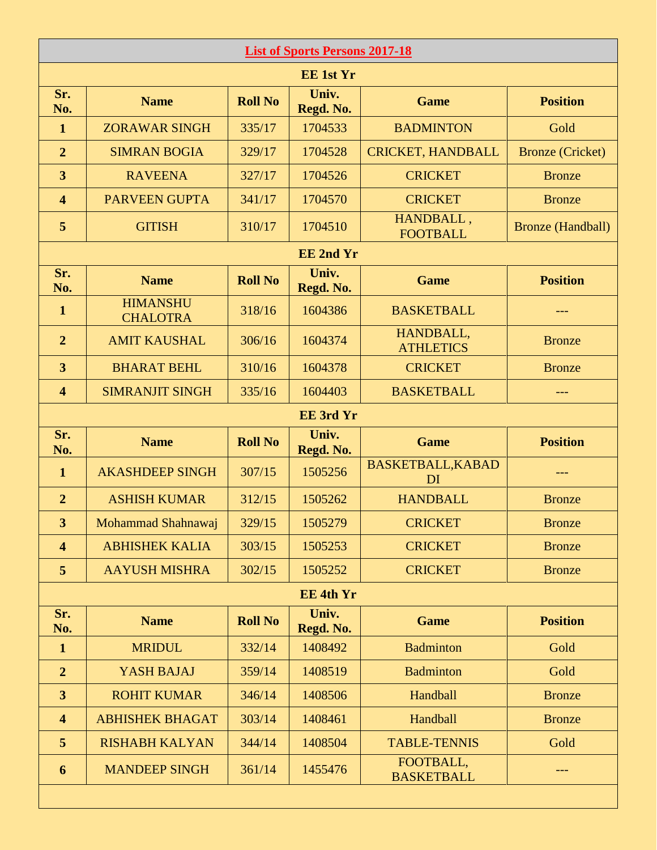| <b>List of Sports Persons 2017-18</b> |                                    |                |                    |                                |                          |  |
|---------------------------------------|------------------------------------|----------------|--------------------|--------------------------------|--------------------------|--|
| <b>EE 1st Yr</b>                      |                                    |                |                    |                                |                          |  |
| Sr.<br>No.                            | <b>Name</b>                        | <b>Roll No</b> | Univ.<br>Regd. No. | <b>Game</b>                    | <b>Position</b>          |  |
| $\mathbf{1}$                          | <b>ZORAWAR SINGH</b>               | 335/17         | 1704533            | <b>BADMINTON</b>               | Gold                     |  |
| $\overline{2}$                        | <b>SIMRAN BOGIA</b>                | 329/17         | 1704528            | <b>CRICKET, HANDBALL</b>       | <b>Bronze</b> (Cricket)  |  |
| $\overline{\mathbf{3}}$               | <b>RAVEENA</b>                     | 327/17         | 1704526            | <b>CRICKET</b>                 | <b>Bronze</b>            |  |
| $\overline{\mathbf{4}}$               | <b>PARVEEN GUPTA</b>               | 341/17         | 1704570            | <b>CRICKET</b>                 | <b>Bronze</b>            |  |
| 5                                     | <b>GITISH</b>                      | 310/17         | 1704510            | HANDBALL,<br><b>FOOTBALL</b>   | <b>Bronze</b> (Handball) |  |
|                                       |                                    |                | <b>EE 2nd Yr</b>   |                                |                          |  |
| Sr.<br>No.                            | <b>Name</b>                        | <b>Roll No</b> | Univ.<br>Regd. No. | <b>Game</b>                    | <b>Position</b>          |  |
| $\mathbf{1}$                          | <b>HIMANSHU</b><br><b>CHALOTRA</b> | 318/16         | 1604386            | <b>BASKETBALL</b>              | ---                      |  |
| $\overline{2}$                        | <b>AMIT KAUSHAL</b>                | 306/16         | 1604374            | HANDBALL,<br><b>ATHLETICS</b>  | <b>Bronze</b>            |  |
| $\overline{\mathbf{3}}$               | <b>BHARAT BEHL</b>                 | 310/16         | 1604378            | <b>CRICKET</b>                 | <b>Bronze</b>            |  |
| $\overline{\mathbf{4}}$               | <b>SIMRANJIT SINGH</b>             | 335/16         | 1604403            | <b>BASKETBALL</b>              | ---                      |  |
| <b>EE</b> 3rd Yr                      |                                    |                |                    |                                |                          |  |
| Sr.<br>No.                            | <b>Name</b>                        | <b>Roll No</b> | Univ.<br>Regd. No. | <b>Game</b>                    | <b>Position</b>          |  |
| $\mathbf{1}$                          | <b>AKASHDEEP SINGH</b>             | 307/15         | 1505256            | <b>BASKETBALL, KABAD</b><br>DI | ---                      |  |
| $\overline{2}$                        | <b>ASHISH KUMAR</b>                | 312/15         | 1505262            | <b>HANDBALL</b>                | <b>Bronze</b>            |  |
| 3                                     | Mohammad Shahnawaj                 | 329/15         | 1505279            | <b>CRICKET</b>                 | <b>Bronze</b>            |  |
| $\overline{\mathbf{4}}$               | <b>ABHISHEK KALIA</b>              | 303/15         | 1505253            | <b>CRICKET</b>                 | <b>Bronze</b>            |  |
| 5                                     | <b>AAYUSH MISHRA</b>               | 302/15         | 1505252            | <b>CRICKET</b>                 | <b>Bronze</b>            |  |
|                                       |                                    |                | <b>EE 4th Yr</b>   |                                |                          |  |
| Sr.<br>No.                            | <b>Name</b>                        | <b>Roll No</b> | Univ.<br>Regd. No. | <b>Game</b>                    | <b>Position</b>          |  |
| $\mathbf{1}$                          | <b>MRIDUL</b>                      | 332/14         | 1408492            | <b>Badminton</b>               | Gold                     |  |
| $\overline{2}$                        | YASH BAJAJ                         | 359/14         | 1408519            | <b>Badminton</b>               | Gold                     |  |
| $\overline{\mathbf{3}}$               | <b>ROHIT KUMAR</b>                 | 346/14         | 1408506            | Handball                       | <b>Bronze</b>            |  |
| $\overline{\mathbf{4}}$               | <b>ABHISHEK BHAGAT</b>             | 303/14         | 1408461            | Handball                       | <b>Bronze</b>            |  |
| 5                                     | <b>RISHABH KALYAN</b>              | 344/14         | 1408504            | <b>TABLE-TENNIS</b>            | Gold                     |  |
| 6                                     | <b>MANDEEP SINGH</b>               | 361/14         | 1455476            | FOOTBALL,<br><b>BASKETBALL</b> | ---                      |  |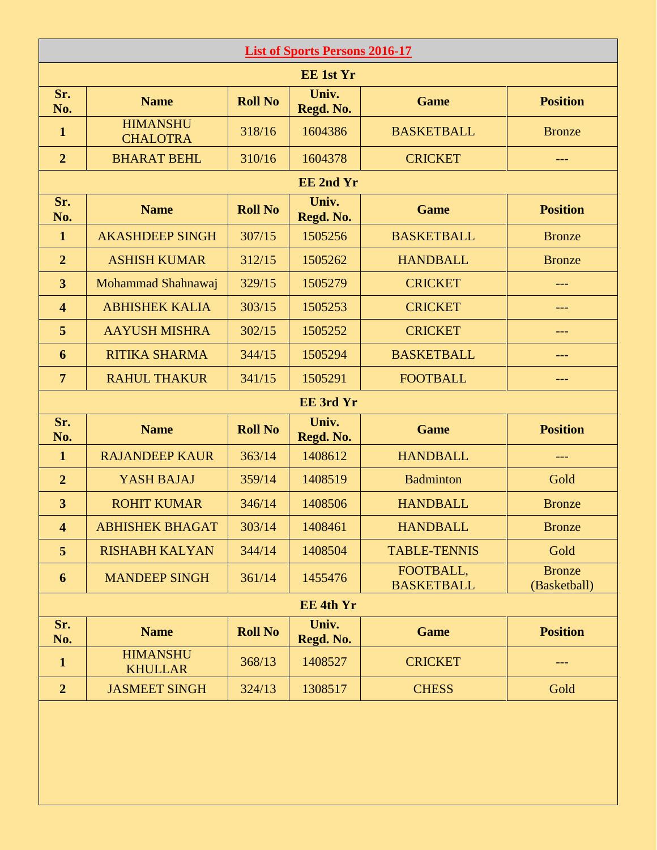| <b>List of Sports Persons 2016-17</b> |                                    |                |                    |                                |                               |  |
|---------------------------------------|------------------------------------|----------------|--------------------|--------------------------------|-------------------------------|--|
| <b>EE 1st Yr</b>                      |                                    |                |                    |                                |                               |  |
| Sr.<br>No.                            | <b>Name</b>                        | <b>Roll No</b> | Univ.<br>Regd. No. | <b>Game</b>                    | <b>Position</b>               |  |
| $\mathbf{1}$                          | <b>HIMANSHU</b><br><b>CHALOTRA</b> | 318/16         | 1604386            | <b>BASKETBALL</b>              | <b>Bronze</b>                 |  |
| $\overline{2}$                        | <b>BHARAT BEHL</b>                 | 310/16         | 1604378            | <b>CRICKET</b>                 | ---                           |  |
| <b>EE 2nd Yr</b>                      |                                    |                |                    |                                |                               |  |
| Sr.<br>No.                            | <b>Name</b>                        | <b>Roll No</b> | Univ.<br>Regd. No. | <b>Game</b>                    | <b>Position</b>               |  |
| $\mathbf{1}$                          | <b>AKASHDEEP SINGH</b>             | 307/15         | 1505256            | <b>BASKETBALL</b>              | <b>Bronze</b>                 |  |
| $\overline{2}$                        | <b>ASHISH KUMAR</b>                | 312/15         | 1505262            | <b>HANDBALL</b>                | <b>Bronze</b>                 |  |
| $\overline{\mathbf{3}}$               | Mohammad Shahnawaj                 | 329/15         | 1505279            | <b>CRICKET</b>                 | ---                           |  |
| $\overline{\mathbf{4}}$               | <b>ABHISHEK KALIA</b>              | 303/15         | 1505253            | <b>CRICKET</b>                 | ---                           |  |
| 5                                     | <b>AAYUSH MISHRA</b>               | 302/15         | 1505252            | <b>CRICKET</b>                 |                               |  |
| 6                                     | <b>RITIKA SHARMA</b>               | 344/15         | 1505294            | <b>BASKETBALL</b>              |                               |  |
| $\overline{7}$                        | <b>RAHUL THAKUR</b>                | 341/15         | 1505291            | <b>FOOTBALL</b>                | ---                           |  |
| <b>EE</b> 3rd Yr                      |                                    |                |                    |                                |                               |  |
| Sr.<br>No.                            | <b>Name</b>                        | <b>Roll No</b> | Univ.<br>Regd. No. | <b>Game</b>                    | <b>Position</b>               |  |
| $\mathbf{1}$                          | <b>RAJANDEEP KAUR</b>              | 363/14         | 1408612            | <b>HANDBALL</b>                | ---                           |  |
| $\overline{2}$                        | YASH BAJAJ                         | 359/14         | 1408519            | <b>Badminton</b>               | Gold                          |  |
| $\overline{\mathbf{3}}$               | <b>ROHIT KUMAR</b>                 | 346/14         | 1408506            | <b>HANDBALL</b>                | <b>Bronze</b>                 |  |
| $\overline{\mathbf{4}}$               | <b>ABHISHEK BHAGAT</b>             | 303/14         | 1408461            | <b>HANDBALL</b>                | <b>Bronze</b>                 |  |
| 5                                     | <b>RISHABH KALYAN</b>              | 344/14         | 1408504            | <b>TABLE-TENNIS</b>            | Gold                          |  |
| 6                                     | <b>MANDEEP SINGH</b>               | 361/14         | 1455476            | FOOTBALL,<br><b>BASKETBALL</b> | <b>Bronze</b><br>(Basketball) |  |
| <b>EE 4th Yr</b>                      |                                    |                |                    |                                |                               |  |
| Sr.<br>No.                            | <b>Name</b>                        | <b>Roll No</b> | Univ.<br>Regd. No. | <b>Game</b>                    | <b>Position</b>               |  |
| $\mathbf{1}$                          | <b>HIMANSHU</b><br><b>KHULLAR</b>  | 368/13         | 1408527            | <b>CRICKET</b>                 | ---                           |  |
| $\overline{2}$                        | <b>JASMEET SINGH</b>               | 324/13         | 1308517            | <b>CHESS</b>                   | Gold                          |  |
|                                       |                                    |                |                    |                                |                               |  |